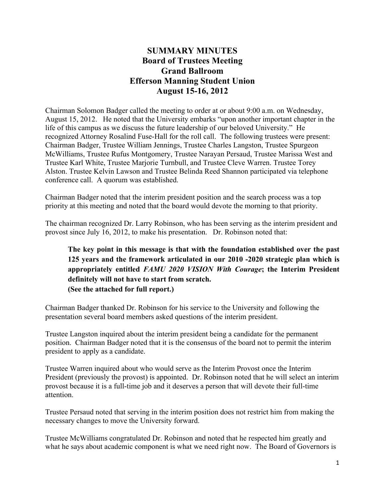# **SUMMARY MINUTES Board of Trustees Meeting Grand Ballroom Efferson Manning Student Union August 15-16, 2012**

Chairman Solomon Badger called the meeting to order at or about 9:00 a.m. on Wednesday, August 15, 2012. He noted that the University embarks "upon another important chapter in the life of this campus as we discuss the future leadership of our beloved University." He recognized Attorney Rosalind Fuse-Hall for the roll call. The following trustees were present: Chairman Badger, Trustee William Jennings, Trustee Charles Langston, Trustee Spurgeon McWilliams, Trustee Rufus Montgomery, Trustee Narayan Persaud, Trustee Marissa West and Trustee Karl White, Trustee Marjorie Turnbull, and Trustee Cleve Warren. Trustee Torey Alston. Trustee Kelvin Lawson and Trustee Belinda Reed Shannon participated via telephone conference call. A quorum was established.

Chairman Badger noted that the interim president position and the search process was a top priority at this meeting and noted that the board would devote the morning to that priority.

The chairman recognized Dr. Larry Robinson, who has been serving as the interim president and provost since July 16, 2012, to make his presentation. Dr. Robinson noted that:

## **The key point in this message is that with the foundation established over the past 125 years and the framework articulated in our 2010 -2020 strategic plan which is appropriately entitled** *FAMU 2020 VISION With Courage***; the Interim President definitely will not have to start from scratch. (See the attached for full report.)**

Chairman Badger thanked Dr. Robinson for his service to the University and following the presentation several board members asked questions of the interim president.

Trustee Langston inquired about the interim president being a candidate for the permanent position. Chairman Badger noted that it is the consensus of the board not to permit the interim president to apply as a candidate.

Trustee Warren inquired about who would serve as the Interim Provost once the Interim President (previously the provost) is appointed. Dr. Robinson noted that he will select an interim provost because it is a full-time job and it deserves a person that will devote their full-time attention.

Trustee Persaud noted that serving in the interim position does not restrict him from making the necessary changes to move the University forward.

Trustee McWilliams congratulated Dr. Robinson and noted that he respected him greatly and what he says about academic component is what we need right now. The Board of Governors is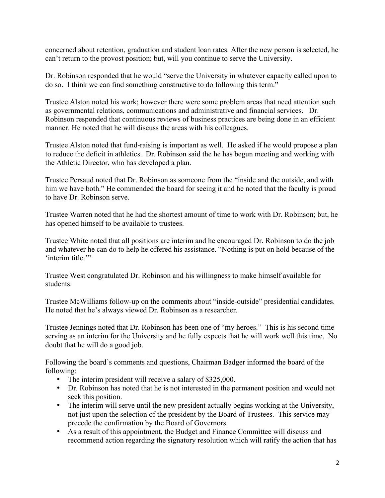concerned about retention, graduation and student loan rates. After the new person is selected, he can't return to the provost position; but, will you continue to serve the University.

Dr. Robinson responded that he would "serve the University in whatever capacity called upon to do so. I think we can find something constructive to do following this term."

Trustee Alston noted his work; however there were some problem areas that need attention such as governmental relations, communications and administrative and financial services. Dr. Robinson responded that continuous reviews of business practices are being done in an efficient manner. He noted that he will discuss the areas with his colleagues.

Trustee Alston noted that fund-raising is important as well. He asked if he would propose a plan to reduce the deficit in athletics. Dr. Robinson said the he has begun meeting and working with the Athletic Director, who has developed a plan.

Trustee Persaud noted that Dr. Robinson as someone from the "inside and the outside, and with him we have both." He commended the board for seeing it and he noted that the faculty is proud to have Dr. Robinson serve.

Trustee Warren noted that he had the shortest amount of time to work with Dr. Robinson; but, he has opened himself to be available to trustees.

Trustee White noted that all positions are interim and he encouraged Dr. Robinson to do the job and whatever he can do to help he offered his assistance. "Nothing is put on hold because of the 'interim title."

Trustee West congratulated Dr. Robinson and his willingness to make himself available for students.

Trustee McWilliams follow-up on the comments about "inside-outside" presidential candidates. He noted that he's always viewed Dr. Robinson as a researcher.

Trustee Jennings noted that Dr. Robinson has been one of "my heroes." This is his second time serving as an interim for the University and he fully expects that he will work well this time. No doubt that he will do a good job.

Following the board's comments and questions, Chairman Badger informed the board of the following:

- The interim president will receive a salary of \$325,000.
- Dr. Robinson has noted that he is not interested in the permanent position and would not seek this position.
- The interim will serve until the new president actually begins working at the University, not just upon the selection of the president by the Board of Trustees. This service may precede the confirmation by the Board of Governors.
- As a result of this appointment, the Budget and Finance Committee will discuss and recommend action regarding the signatory resolution which will ratify the action that has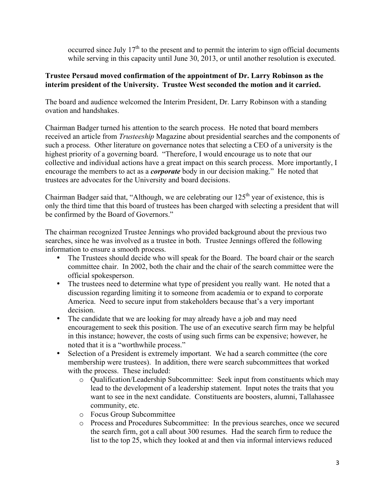occurred since July  $17<sup>th</sup>$  to the present and to permit the interim to sign official documents while serving in this capacity until June 30, 2013, or until another resolution is executed.

#### **Trustee Persaud moved confirmation of the appointment of Dr. Larry Robinson as the interim president of the University. Trustee West seconded the motion and it carried.**

The board and audience welcomed the Interim President, Dr. Larry Robinson with a standing ovation and handshakes.

Chairman Badger turned his attention to the search process. He noted that board members received an article from *Trusteeship* Magazine about presidential searches and the components of such a process. Other literature on governance notes that selecting a CEO of a university is the highest priority of a governing board. "Therefore, I would encourage us to note that our collective and individual actions have a great impact on this search process. More importantly, I encourage the members to act as a *corporate* body in our decision making." He noted that trustees are advocates for the University and board decisions.

Chairman Badger said that, "Although, we are celebrating our  $125<sup>th</sup>$  year of existence, this is only the third time that this board of trustees has been charged with selecting a president that will be confirmed by the Board of Governors."

The chairman recognized Trustee Jennings who provided background about the previous two searches, since he was involved as a trustee in both. Trustee Jennings offered the following information to ensure a smooth process.

- The Trustees should decide who will speak for the Board. The board chair or the search committee chair. In 2002, both the chair and the chair of the search committee were the official spokesperson.
- The trustees need to determine what type of president you really want. He noted that a discussion regarding limiting it to someone from academia or to expand to corporate America. Need to secure input from stakeholders because that's a very important decision.
- The candidate that we are looking for may already have a job and may need encouragement to seek this position. The use of an executive search firm may be helpful in this instance; however, the costs of using such firms can be expensive; however, he noted that it is a "worthwhile process."
- Selection of a President is extremely important. We had a search committee (the core membership were trustees). In addition, there were search subcommittees that worked with the process. These included:
	- o Qualification/Leadership Subcommittee: Seek input from constituents which may lead to the development of a leadership statement. Input notes the traits that you want to see in the next candidate. Constituents are boosters, alumni, Tallahassee community, etc.
	- o Focus Group Subcommittee
	- o Process and Procedures Subcommittee: In the previous searches, once we secured the search firm, got a call about 300 resumes. Had the search firm to reduce the list to the top 25, which they looked at and then via informal interviews reduced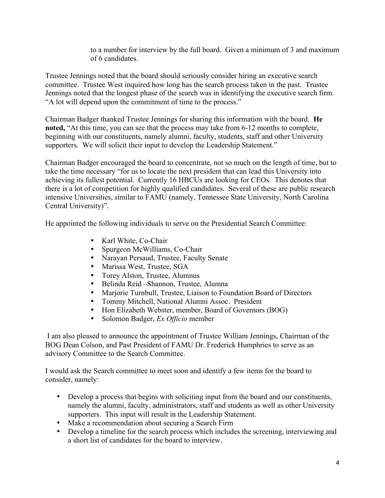to a number for interview by the full board. Given a minimum of 3 and maximum of 6 candidates.

Trustee Jennings noted that the board should seriously consider hiring an executive search committee. Trustee West inquired how long has the search process taken in the past. Trustee Jennings noted that the longest phase of the search was in identifying the executive search firm. "A lot will depend upon the commitment of time to the process."

Chairman Badger thanked Trustee Jennings for sharing this information with the board. **He noted,** "At this time, you can see that the process may take from 6-12 months to complete, beginning with our constituents, namely alumni, faculty, students, staff and other University supporters. We will solicit their input to develop the Leadership Statement."

Chairman Badger encouraged the board to concentrate, not so much on the length of time, but to take the time necessary "for us to locate the next president that can lead this University into achieving its fullest potential. Currently 16 HBCUs are looking for CEOs. This denotes that there is a lot of competition for highly qualified candidates. Several of these are public research intensive Universities, similar to FAMU (namely, Tennessee State University, North Carolina Central University)".

He appointed the following individuals to serve on the Presidential Search Committee:

- Karl White, Co-Chair<br>• Spurgeon McWilliams
- Spurgeon McWilliams, Co-Chair
- Narayan Persaud, Trustee, Faculty Senate<br>• Marissa West. Trustee, SGA
- Marissa West, Trustee, SGA<br>• Torey Alston Trustee Alumi
- Torey Alston, Trustee, Alumnus<br>• Belinda Reid Shannon, Trustee.
- Belinda Reid –Shannon, Trustee, Alumna
- Marjorie Turnbull, Trustee, Liaison to Foundation Board of Directors
- Tommy Mitchell, National Alumni Assoc. President<br>• Hon Elizabeth Webster member Board of Governors
- Hon Elizabeth Webster, member, Board of Governors (BOG)
- Solomon Badger, *Ex Officio* member

 I am also pleased to announce the appointment of Trustee William Jennings, Chairman of the BOG Dean Colson, and Past President of FAMU Dr. Frederick Humphries to serve as an advisory Committee to the Search Committee.

I would ask the Search committee to meet soon and identify a few items for the board to consider, namely:

- Develop a process that begins with soliciting input from the board and our constituents, namely the alumni, faculty, administrators, staff and students as well as other University supporters. This input will result in the Leadership Statement.
- Make a recommendation about securing a Search Firm
- Develop a timeline for the search process which includes the screening, interviewing and a short list of candidates for the board to interview.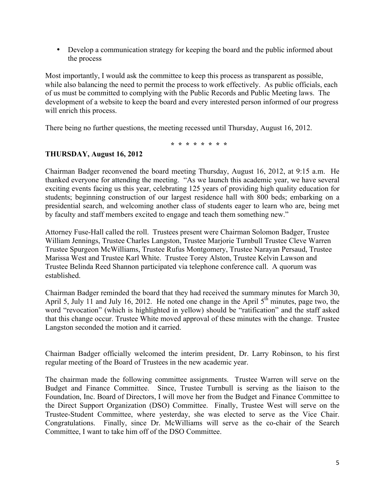• Develop a communication strategy for keeping the board and the public informed about the process

Most importantly, I would ask the committee to keep this process as transparent as possible, while also balancing the need to permit the process to work effectively. As public officials, each of us must be committed to complying with the Public Records and Public Meeting laws. The development of a website to keep the board and every interested person informed of our progress will enrich this process.

There being no further questions, the meeting recessed until Thursday, August 16, 2012.

 **\* \* \* \* \* \* \* \***

### **THURSDAY, August 16, 2012**

Chairman Badger reconvened the board meeting Thursday, August 16, 2012, at 9:15 a.m. He thanked everyone for attending the meeting. "As we launch this academic year, we have several exciting events facing us this year, celebrating 125 years of providing high quality education for students; beginning construction of our largest residence hall with 800 beds; embarking on a presidential search, and welcoming another class of students eager to learn who are, being met by faculty and staff members excited to engage and teach them something new."

Attorney Fuse-Hall called the roll. Trustees present were Chairman Solomon Badger, Trustee William Jennings, Trustee Charles Langston, Trustee Marjorie Turnbull Trustee Cleve Warren Trustee Spurgeon McWilliams, Trustee Rufus Montgomery, Trustee Narayan Persaud, Trustee Marissa West and Trustee Karl White. Trustee Torey Alston, Trustee Kelvin Lawson and Trustee Belinda Reed Shannon participated via telephone conference call. A quorum was established.

Chairman Badger reminded the board that they had received the summary minutes for March 30, April 5, July 11 and July 16, 2012. He noted one change in the April 5<sup>th</sup> minutes, page two, the word "revocation" (which is highlighted in yellow) should be "ratification" and the staff asked that this change occur. Trustee White moved approval of these minutes with the change. Trustee Langston seconded the motion and it carried.

Chairman Badger officially welcomed the interim president, Dr. Larry Robinson, to his first regular meeting of the Board of Trustees in the new academic year.

The chairman made the following committee assignments. Trustee Warren will serve on the Budget and Finance Committee. Since, Trustee Turnbull is serving as the liaison to the Foundation, Inc. Board of Directors, I will move her from the Budget and Finance Committee to the Direct Support Organization (DSO) Committee. Finally, Trustee West will serve on the Trustee-Student Committee, where yesterday, she was elected to serve as the Vice Chair. Congratulations. Finally, since Dr. McWilliams will serve as the co-chair of the Search Committee, I want to take him off of the DSO Committee.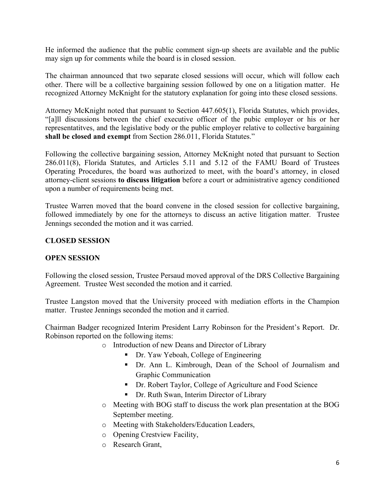He informed the audience that the public comment sign-up sheets are available and the public may sign up for comments while the board is in closed session.

The chairman announced that two separate closed sessions will occur, which will follow each other. There will be a collective bargaining session followed by one on a litigation matter. He recognized Attorney McKnight for the statutory explanation for going into these closed sessions.

Attorney McKnight noted that pursuant to Section 447.605(1), Florida Statutes, which provides, "[a]ll discussions between the chief executive officer of the pubic employer or his or her representatitves, and the legislative body or the public employer relative to collective bargaining **shall be closed and exempt** from Section 286.011, Florida Statutes."

Following the collective bargaining session, Attorney McKnight noted that pursuant to Section 286.011(8), Florida Statutes, and Articles 5.11 and 5.12 of the FAMU Board of Trustees Operating Procedures, the board was authorized to meet, with the board's attorney, in closed attorney-client sessions **to discuss litigation** before a court or administrative agency conditioned upon a number of requirements being met.

Trustee Warren moved that the board convene in the closed session for collective bargaining, followed immediately by one for the attorneys to discuss an active litigation matter. Trustee Jennings seconded the motion and it was carried.

## **CLOSED SESSION**

### **OPEN SESSION**

Following the closed session, Trustee Persaud moved approval of the DRS Collective Bargaining Agreement. Trustee West seconded the motion and it carried.

Trustee Langston moved that the University proceed with mediation efforts in the Champion matter. Trustee Jennings seconded the motion and it carried.

Chairman Badger recognized Interim President Larry Robinson for the President's Report. Dr. Robinson reported on the following items:

- o Introduction of new Deans and Director of Library
	- Dr. Yaw Yeboah, College of Engineering
	- Dr. Ann L. Kimbrough, Dean of the School of Journalism and Graphic Communication
	- Dr. Robert Taylor, College of Agriculture and Food Science
	- Dr. Ruth Swan, Interim Director of Library
- o Meeting with BOG staff to discuss the work plan presentation at the BOG September meeting.
- o Meeting with Stakeholders/Education Leaders,
- o Opening Crestview Facility,
- o Research Grant,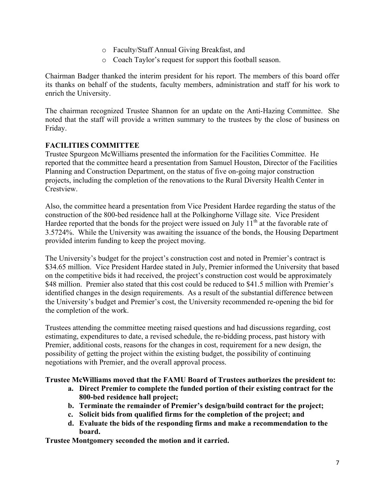- o Faculty/Staff Annual Giving Breakfast, and
- o Coach Taylor's request for support this football season.

Chairman Badger thanked the interim president for his report. The members of this board offer its thanks on behalf of the students, faculty members, administration and staff for his work to enrich the University.

The chairman recognized Trustee Shannon for an update on the Anti-Hazing Committee. She noted that the staff will provide a written summary to the trustees by the close of business on Friday.

### **FACILITIES COMMITTEE**

Trustee Spurgeon McWilliams presented the information for the Facilities Committee. He reported that the committee heard a presentation from Samuel Houston, Director of the Facilities Planning and Construction Department, on the status of five on-going major construction projects, including the completion of the renovations to the Rural Diversity Health Center in Crestview.

Also, the committee heard a presentation from Vice President Hardee regarding the status of the construction of the 800-bed residence hall at the Polkinghorne Village site. Vice President Hardee reported that the bonds for the project were issued on July  $11^{th}$  at the favorable rate of 3.5724%. While the University was awaiting the issuance of the bonds, the Housing Department provided interim funding to keep the project moving.

The University's budget for the project's construction cost and noted in Premier's contract is \$34.65 million. Vice President Hardee stated in July, Premier informed the University that based on the competitive bids it had received, the project's construction cost would be approximately \$48 million. Premier also stated that this cost could be reduced to \$41.5 million with Premier's identified changes in the design requirements. As a result of the substantial difference between the University's budget and Premier's cost, the University recommended re-opening the bid for the completion of the work.

Trustees attending the committee meeting raised questions and had discussions regarding, cost estimating, expenditures to date, a revised schedule, the re-bidding process, past history with Premier, additional costs, reasons for the changes in cost, requirement for a new design, the possibility of getting the project within the existing budget, the possibility of continuing negotiations with Premier, and the overall approval process.

### **Trustee McWilliams moved that the FAMU Board of Trustees authorizes the president to:**

- **a. Direct Premier to complete the funded portion of their existing contract for the 800-bed residence hall project;**
- **b. Terminate the remainder of Premier's design/build contract for the project;**
- **c. Solicit bids from qualified firms for the completion of the project; and**
- **d. Evaluate the bids of the responding firms and make a recommendation to the board.**

**Trustee Montgomery seconded the motion and it carried.**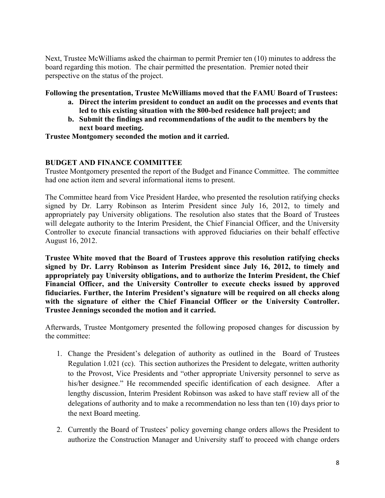Next, Trustee McWilliams asked the chairman to permit Premier ten (10) minutes to address the board regarding this motion. The chair permitted the presentation. Premier noted their perspective on the status of the project.

#### **Following the presentation, Trustee McWilliams moved that the FAMU Board of Trustees:**

- **a. Direct the interim president to conduct an audit on the processes and events that led to this existing situation with the 800-bed residence hall project; and**
- **b. Submit the findings and recommendations of the audit to the members by the next board meeting.**

**Trustee Montgomery seconded the motion and it carried.**

### **BUDGET AND FINANCE COMMITTEE**

Trustee Montgomery presented the report of the Budget and Finance Committee. The committee had one action item and several informational items to present.

The Committee heard from Vice President Hardee, who presented the resolution ratifying checks signed by Dr. Larry Robinson as Interim President since July 16, 2012, to timely and appropriately pay University obligations. The resolution also states that the Board of Trustees will delegate authority to the Interim President, the Chief Financial Officer, and the University Controller to execute financial transactions with approved fiduciaries on their behalf effective August 16, 2012.

**Trustee White moved that the Board of Trustees approve this resolution ratifying checks signed by Dr. Larry Robinson as Interim President since July 16, 2012, to timely and appropriately pay University obligations, and to authorize the Interim President, the Chief Financial Officer, and the University Controller to execute checks issued by approved fiduciaries. Further, the Interim President's signature will be required on all checks along with the signature of either the Chief Financial Officer or the University Controller. Trustee Jennings seconded the motion and it carried.** 

Afterwards, Trustee Montgomery presented the following proposed changes for discussion by the committee:

- 1. Change the President's delegation of authority as outlined in the Board of Trustees Regulation 1.021 (cc). This section authorizes the President to delegate, written authority to the Provost, Vice Presidents and "other appropriate University personnel to serve as his/her designee." He recommended specific identification of each designee. After a lengthy discussion, Interim President Robinson was asked to have staff review all of the delegations of authority and to make a recommendation no less than ten (10) days prior to the next Board meeting.
- 2. Currently the Board of Trustees' policy governing change orders allows the President to authorize the Construction Manager and University staff to proceed with change orders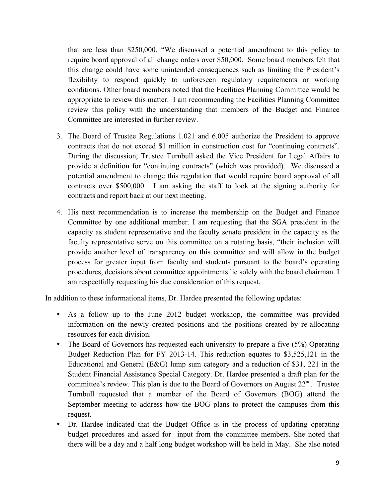that are less than \$250,000. "We discussed a potential amendment to this policy to require board approval of all change orders over \$50,000. Some board members felt that this change could have some unintended consequences such as limiting the President's flexibility to respond quickly to unforeseen regulatory requirements or working conditions. Other board members noted that the Facilities Planning Committee would be appropriate to review this matter. I am recommending the Facilities Planning Committee review this policy with the understanding that members of the Budget and Finance Committee are interested in further review.

- 3. The Board of Trustee Regulations 1.021 and 6.005 authorize the President to approve contracts that do not exceed \$1 million in construction cost for "continuing contracts". During the discussion, Trustee Turnbull asked the Vice President for Legal Affairs to provide a definition for "continuing contracts" (which was provided). We discussed a potential amendment to change this regulation that would require board approval of all contracts over \$500,000. I am asking the staff to look at the signing authority for contracts and report back at our next meeting.
- 4. His next recommendation is to increase the membership on the Budget and Finance Committee by one additional member. I am requesting that the SGA president in the capacity as student representative and the faculty senate president in the capacity as the faculty representative serve on this committee on a rotating basis, "their inclusion will provide another level of transparency on this committee and will allow in the budget process for greater input from faculty and students pursuant to the board's operating procedures, decisions about committee appointments lie solely with the board chairman. I am respectfully requesting his due consideration of this request.

In addition to these informational items, Dr. Hardee presented the following updates:

- As a follow up to the June 2012 budget workshop, the committee was provided information on the newly created positions and the positions created by re-allocating resources for each division.
- The Board of Governors has requested each university to prepare a five (5%) Operating Budget Reduction Plan for FY 2013-14. This reduction equates to \$3,525,121 in the Educational and General (E&G) lump sum category and a reduction of \$31, 221 in the Student Financial Assistance Special Category. Dr. Hardee presented a draft plan for the committee's review. This plan is due to the Board of Governors on August  $22<sup>nd</sup>$ . Trustee Turnbull requested that a member of the Board of Governors (BOG) attend the September meeting to address how the BOG plans to protect the campuses from this request.
- Dr. Hardee indicated that the Budget Office is in the process of updating operating budget procedures and asked for input from the committee members. She noted that there will be a day and a half long budget workshop will be held in May. She also noted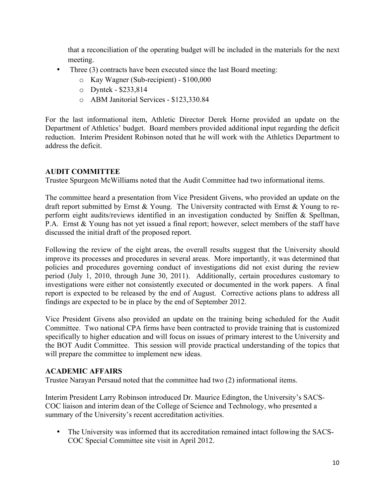that a reconciliation of the operating budget will be included in the materials for the next meeting.

- Three (3) contracts have been executed since the last Board meeting:
	- o Kay Wagner (Sub-recipient) \$100,000
	- o Dyntek \$233,814
	- o ABM Janitorial Services \$123,330.84

For the last informational item, Athletic Director Derek Horne provided an update on the Department of Athletics' budget. Board members provided additional input regarding the deficit reduction. Interim President Robinson noted that he will work with the Athletics Department to address the deficit.

### **AUDIT COMMITTEE**

Trustee Spurgeon McWilliams noted that the Audit Committee had two informational items.

The committee heard a presentation from Vice President Givens, who provided an update on the draft report submitted by Ernst & Young. The University contracted with Ernst & Young to reperform eight audits/reviews identified in an investigation conducted by Sniffen & Spellman, P.A. Ernst & Young has not yet issued a final report; however, select members of the staff have discussed the initial draft of the proposed report.

Following the review of the eight areas, the overall results suggest that the University should improve its processes and procedures in several areas. More importantly, it was determined that policies and procedures governing conduct of investigations did not exist during the review period (July 1, 2010, through June 30, 2011). Additionally, certain procedures customary to investigations were either not consistently executed or documented in the work papers. A final report is expected to be released by the end of August. Corrective actions plans to address all findings are expected to be in place by the end of September 2012.

Vice President Givens also provided an update on the training being scheduled for the Audit Committee. Two national CPA firms have been contracted to provide training that is customized specifically to higher education and will focus on issues of primary interest to the University and the BOT Audit Committee. This session will provide practical understanding of the topics that will prepare the committee to implement new ideas.

### **ACADEMIC AFFAIRS**

Trustee Narayan Persaud noted that the committee had two (2) informational items.

Interim President Larry Robinson introduced Dr. Maurice Edington, the University's SACS-COC liaison and interim dean of the College of Science and Technology, who presented a summary of the University's recent accreditation activities.

• The University was informed that its accreditation remained intact following the SACS-COC Special Committee site visit in April 2012.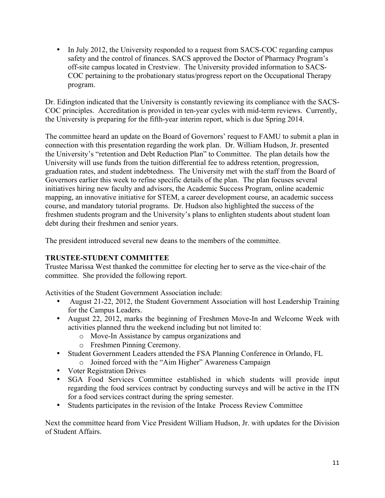• In July 2012, the University responded to a request from SACS-COC regarding campus safety and the control of finances. SACS approved the Doctor of Pharmacy Program's off-site campus located in Crestview. The University provided information to SACS-COC pertaining to the probationary status/progress report on the Occupational Therapy program.

Dr. Edington indicated that the University is constantly reviewing its compliance with the SACS-COC principles. Accreditation is provided in ten-year cycles with mid-term reviews. Currently, the University is preparing for the fifth-year interim report, which is due Spring 2014.

The committee heard an update on the Board of Governors' request to FAMU to submit a plan in connection with this presentation regarding the work plan. Dr. William Hudson, Jr. presented the University's "retention and Debt Reduction Plan" to Committee. The plan details how the University will use funds from the tuition differential fee to address retention, progression, graduation rates, and student indebtedness. The University met with the staff from the Board of Governors earlier this week to refine specific details of the plan. The plan focuses several initiatives hiring new faculty and advisors, the Academic Success Program, online academic mapping, an innovative initiative for STEM, a career development course, an academic success course, and mandatory tutorial programs. Dr. Hudson also highlighted the success of the freshmen students program and the University's plans to enlighten students about student loan debt during their freshmen and senior years.

The president introduced several new deans to the members of the committee.

### **TRUSTEE-STUDENT COMMITTEE**

Trustee Marissa West thanked the committee for electing her to serve as the vice-chair of the committee. She provided the following report.

Activities of the Student Government Association include:

- August 21-22, 2012, the Student Government Association will host Leadership Training for the Campus Leaders.
- August 22, 2012, marks the beginning of Freshmen Move-In and Welcome Week with activities planned thru the weekend including but not limited to:
	- o Move-In Assistance by campus organizations and
	- o Freshmen Pinning Ceremony.
- Student Government Leaders attended the FSA Planning Conference in Orlando, FL
	- o Joined forced with the "Aim Higher" Awareness Campaign
- Voter Registration Drives
- SGA Food Services Committee established in which students will provide input regarding the food services contract by conducting surveys and will be active in the ITN for a food services contract during the spring semester.
- Students participates in the revision of the Intake Process Review Committee

Next the committee heard from Vice President William Hudson, Jr. with updates for the Division of Student Affairs.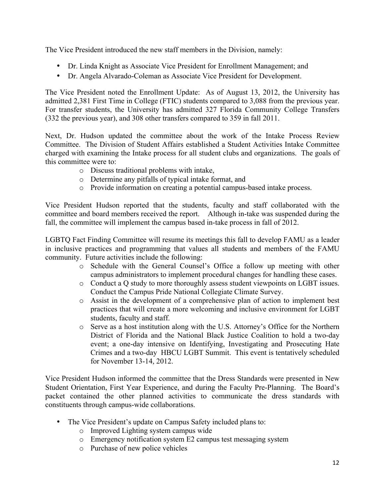The Vice President introduced the new staff members in the Division, namely:

- Dr. Linda Knight as Associate Vice President for Enrollment Management; and
- Dr. Angela Alvarado-Coleman as Associate Vice President for Development.

The Vice President noted the Enrollment Update: As of August 13, 2012, the University has admitted 2,381 First Time in College (FTIC) students compared to 3,088 from the previous year. For transfer students, the University has admitted 327 Florida Community College Transfers (332 the previous year), and 308 other transfers compared to 359 in fall 2011.

Next, Dr. Hudson updated the committee about the work of the Intake Process Review Committee. The Division of Student Affairs established a Student Activities Intake Committee charged with examining the Intake process for all student clubs and organizations. The goals of this committee were to:

- o Discuss traditional problems with intake,
- o Determine any pitfalls of typical intake format, and
- o Provide information on creating a potential campus-based intake process.

Vice President Hudson reported that the students, faculty and staff collaborated with the committee and board members received the report. Although in-take was suspended during the fall, the committee will implement the campus based in-take process in fall of 2012.

LGBTQ Fact Finding Committee will resume its meetings this fall to develop FAMU as a leader in inclusive practices and programming that values all students and members of the FAMU community. Future activities include the following:

- o Schedule with the General Counsel's Office a follow up meeting with other campus administrators to implement procedural changes for handling these cases.
- o Conduct a Q study to more thoroughly assess student viewpoints on LGBT issues. Conduct the Campus Pride National Collegiate Climate Survey.
- o Assist in the development of a comprehensive plan of action to implement best practices that will create a more welcoming and inclusive environment for LGBT students, faculty and staff.
- o Serve as a host institution along with the U.S. Attorney's Office for the Northern District of Florida and the National Black Justice Coalition to hold a two-day event; a one-day intensive on Identifying, Investigating and Prosecuting Hate Crimes and a two-day HBCU LGBT Summit. This event is tentatively scheduled for November 13-14, 2012.

Vice President Hudson informed the committee that the Dress Standards were presented in New Student Orientation, First Year Experience, and during the Faculty Pre-Planning. The Board's packet contained the other planned activities to communicate the dress standards with constituents through campus-wide collaborations.

- The Vice President's update on Campus Safety included plans to:
	- o Improved Lighting system campus wide
	- o Emergency notification system E2 campus test messaging system
	- o Purchase of new police vehicles